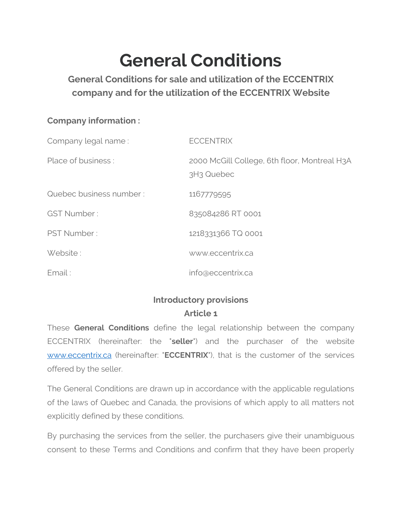# **General Conditions**

**General Conditions for sale and utilization of the ECCENTRIX company and for the utilization of the ECCENTRIX Website**

#### **Company information :**

| Company legal name:     | <b>ECCENTRIX</b>                                                       |
|-------------------------|------------------------------------------------------------------------|
| Place of business:      | 2000 McGill College, 6th floor, Montreal H3A<br>3H <sub>3</sub> Quebec |
| Quebec business number: | 1167779595                                                             |
| <b>GST Number:</b>      | 835084286 RT 0001                                                      |
| PST Number:             | 1218331366 TQ 0001                                                     |
| Website:                | www.eccentrix.ca                                                       |
| Email:                  | info@eccentrix.ca                                                      |

# **Introductory provisions Article 1**

These **General Conditions** define the legal relationship between the company ECCENTRIX (hereinafter: the "**seller**") and the purchaser of the website [www.eccentrix.ca](http://www.eccentrix.ca/) (hereinafter: "**ECCENTRIX**"), that is the customer of the services offered by the seller.

The General Conditions are drawn up in accordance with the applicable regulations of the laws of Quebec and Canada, the provisions of which apply to all matters not explicitly defined by these conditions.

By purchasing the services from the seller, the purchasers give their unambiguous consent to these Terms and Conditions and confirm that they have been properly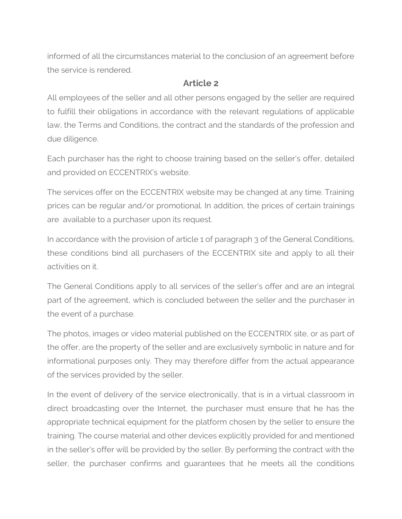informed of all the circumstances material to the conclusion of an agreement before the service is rendered.

#### **Article 2**

All employees of the seller and all other persons engaged by the seller are required to fulfill their obligations in accordance with the relevant regulations of applicable law, the Terms and Conditions, the contract and the standards of the profession and due diligence.

Each purchaser has the right to choose training based on the seller's offer, detailed and provided on ECCENTRIX's website.

The services offer on the ECCENTRIX website may be changed at any time. Training prices can be regular and/or promotional. In addition, the prices of certain trainings are available to a purchaser upon its request.

In accordance with the provision of article 1 of paragraph 3 of the General Conditions, these conditions bind all purchasers of the ECCENTRIX site and apply to all their activities on it.

The General Conditions apply to all services of the seller's offer and are an integral part of the agreement, which is concluded between the seller and the purchaser in the event of a purchase.

The photos, images or video material published on the ECCENTRIX site, or as part of the offer, are the property of the seller and are exclusively symbolic in nature and for informational purposes only. They may therefore differ from the actual appearance of the services provided by the seller.

In the event of delivery of the service electronically, that is in a virtual classroom in direct broadcasting over the Internet, the purchaser must ensure that he has the appropriate technical equipment for the platform chosen by the seller to ensure the training. The course material and other devices explicitly provided for and mentioned in the seller's offer will be provided by the seller. By performing the contract with the seller, the purchaser confirms and guarantees that he meets all the conditions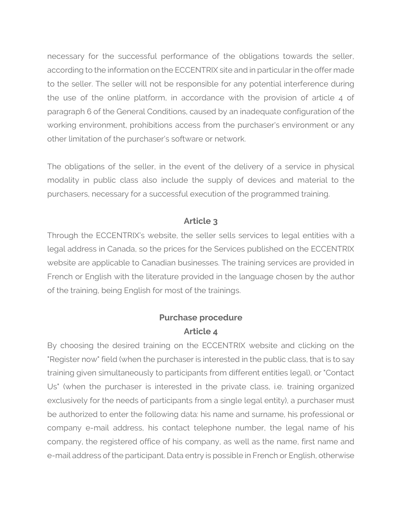necessary for the successful performance of the obligations towards the seller, according to the information on the ECCENTRIX site and in particular in the offer made to the seller. The seller will not be responsible for any potential interference during the use of the online platform, in accordance with the provision of article 4 of paragraph 6 of the General Conditions, caused by an inadequate configuration of the working environment, prohibitions access from the purchaser's environment or any other limitation of the purchaser's software or network.

The obligations of the seller, in the event of the delivery of a service in physical modality in public class also include the supply of devices and material to the purchasers, necessary for a successful execution of the programmed training.

#### **Article 3**

Through the ECCENTRIX's website, the seller sells services to legal entities with a legal address in Canada, so the prices for the Services published on the ECCENTRIX website are applicable to Canadian businesses. The training services are provided in French or English with the literature provided in the language chosen by the author of the training, being English for most of the trainings.

#### **Purchase procedure Article 4**

By choosing the desired training on the ECCENTRIX website and clicking on the "Register now" field (when the purchaser is interested in the public class, that is to say training given simultaneously to participants from different entities legal), or "Contact Us" (when the purchaser is interested in the private class, i.e. training organized exclusively for the needs of participants from a single legal entity), a purchaser must be authorized to enter the following data: his name and surname, his professional or company e-mail address, his contact telephone number, the legal name of his company, the registered office of his company, as well as the name, first name and e-mail address of the participant. Data entry is possible in French or English, otherwise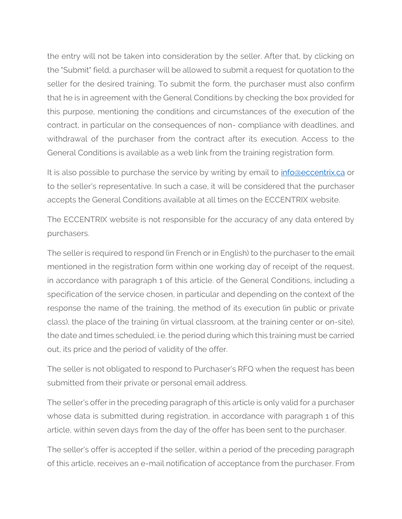the entry will not be taken into consideration by the seller. After that, by clicking on the "Submit" field, a purchaser will be allowed to submit a request for quotation to the seller for the desired training. To submit the form, the purchaser must also confirm that he is in agreement with the General Conditions by checking the box provided for this purpose, mentioning the conditions and circumstances of the execution of the contract, in particular on the consequences of non- compliance with deadlines, and withdrawal of the purchaser from the contract after its execution. Access to the General Conditions is available as a web link from the training registration form.

It is also possible to purchase the service by writing by email to *info@eccentrix.ca* or to the seller's representative. In such a case, it will be considered that the purchaser accepts the General Conditions available at all times on the ECCENTRIX website.

The ECCENTRIX website is not responsible for the accuracy of any data entered by purchasers.

The seller is required to respond (in French or in English) to the purchaser to the email mentioned in the registration form within one working day of receipt of the request, in accordance with paragraph 1 of this article. of the General Conditions, including a specification of the service chosen, in particular and depending on the context of the response the name of the training, the method of its execution (in public or private class), the place of the training (in virtual classroom, at the training center or on-site), the date and times scheduled, i.e. the period during which this training must be carried out, its price and the period of validity of the offer.

The seller is not obligated to respond to Purchaser's RFQ when the request has been submitted from their private or personal email address.

The seller's offer in the preceding paragraph of this article is only valid for a purchaser whose data is submitted during registration, in accordance with paragraph 1 of this article, within seven days from the day of the offer has been sent to the purchaser.

The seller's offer is accepted if the seller, within a period of the preceding paragraph of this article, receives an e-mail notification of acceptance from the purchaser. From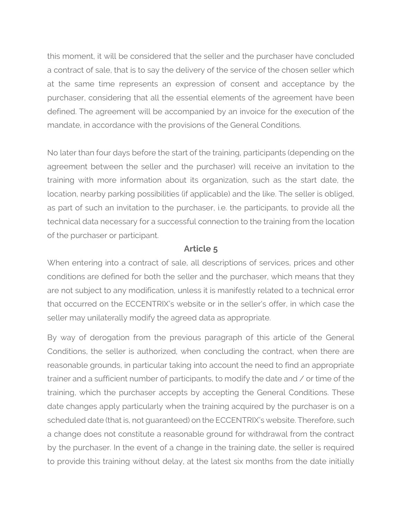this moment, it will be considered that the seller and the purchaser have concluded a contract of sale, that is to say the delivery of the service of the chosen seller which at the same time represents an expression of consent and acceptance by the purchaser, considering that all the essential elements of the agreement have been defined. The agreement will be accompanied by an invoice for the execution of the mandate, in accordance with the provisions of the General Conditions.

No later than four days before the start of the training, participants (depending on the agreement between the seller and the purchaser) will receive an invitation to the training with more information about its organization, such as the start date, the location, nearby parking possibilities (if applicable) and the like. The seller is obliged, as part of such an invitation to the purchaser, i.e. the participants, to provide all the technical data necessary for a successful connection to the training from the location of the purchaser or participant.

#### **Article 5**

When entering into a contract of sale, all descriptions of services, prices and other conditions are defined for both the seller and the purchaser, which means that they are not subject to any modification, unless it is manifestly related to a technical error that occurred on the ECCENTRIX's website or in the seller's offer, in which case the seller may unilaterally modify the agreed data as appropriate.

By way of derogation from the previous paragraph of this article of the General Conditions, the seller is authorized, when concluding the contract, when there are reasonable grounds, in particular taking into account the need to find an appropriate trainer and a sufficient number of participants, to modify the date and / or time of the training, which the purchaser accepts by accepting the General Conditions. These date changes apply particularly when the training acquired by the purchaser is on a scheduled date (that is, not guaranteed) on the ECCENTRIX's website. Therefore, such a change does not constitute a reasonable ground for withdrawal from the contract by the purchaser. In the event of a change in the training date, the seller is required to provide this training without delay, at the latest six months from the date initially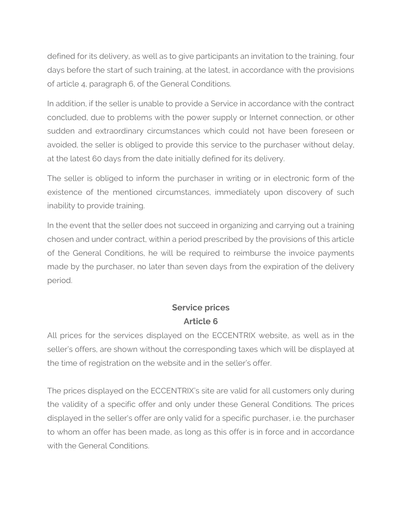defined for its delivery, as well as to give participants an invitation to the training, four days before the start of such training, at the latest, in accordance with the provisions of article 4, paragraph 6, of the General Conditions.

In addition, if the seller is unable to provide a Service in accordance with the contract concluded, due to problems with the power supply or Internet connection, or other sudden and extraordinary circumstances which could not have been foreseen or avoided, the seller is obliged to provide this service to the purchaser without delay, at the latest 60 days from the date initially defined for its delivery.

The seller is obliged to inform the purchaser in writing or in electronic form of the existence of the mentioned circumstances, immediately upon discovery of such inability to provide training.

In the event that the seller does not succeed in organizing and carrying out a training chosen and under contract, within a period prescribed by the provisions of this article of the General Conditions, he will be required to reimburse the invoice payments made by the purchaser, no later than seven days from the expiration of the delivery period.

## **Service prices Article 6**

All prices for the services displayed on the ECCENTRIX website, as well as in the seller's offers, are shown without the corresponding taxes which will be displayed at the time of registration on the website and in the seller's offer.

The prices displayed on the ECCENTRIX's site are valid for all customers only during the validity of a specific offer and only under these General Conditions. The prices displayed in the seller's offer are only valid for a specific purchaser, i.e. the purchaser to whom an offer has been made, as long as this offer is in force and in accordance with the General Conditions.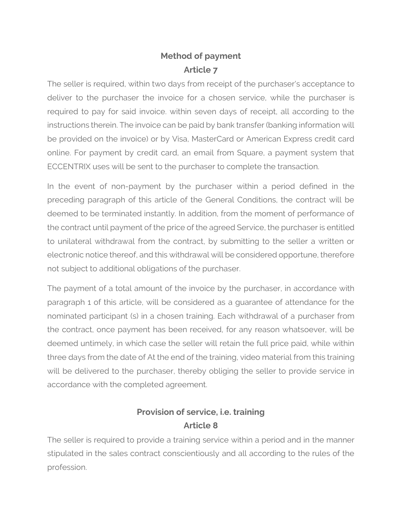# **Method of payment Article 7**

The seller is required, within two days from receipt of the purchaser's acceptance to deliver to the purchaser the invoice for a chosen service, while the purchaser is required to pay for said invoice. within seven days of receipt, all according to the instructions therein. The invoice can be paid by bank transfer (banking information will be provided on the invoice) or by Visa, MasterCard or American Express credit card online. For payment by credit card, an email from Square, a payment system that ECCENTRIX uses will be sent to the purchaser to complete the transaction.

In the event of non-payment by the purchaser within a period defined in the preceding paragraph of this article of the General Conditions, the contract will be deemed to be terminated instantly. In addition, from the moment of performance of the contract until payment of the price of the agreed Service, the purchaser is entitled to unilateral withdrawal from the contract, by submitting to the seller a written or electronic notice thereof, and this withdrawal will be considered opportune, therefore not subject to additional obligations of the purchaser.

The payment of a total amount of the invoice by the purchaser, in accordance with paragraph 1 of this article, will be considered as a guarantee of attendance for the nominated participant (s) in a chosen training. Each withdrawal of a purchaser from the contract, once payment has been received, for any reason whatsoever, will be deemed untimely, in which case the seller will retain the full price paid, while within three days from the date of At the end of the training, video material from this training will be delivered to the purchaser, thereby obliging the seller to provide service in accordance with the completed agreement.

## **Provision of service, i.e. training Article 8**

The seller is required to provide a training service within a period and in the manner stipulated in the sales contract conscientiously and all according to the rules of the profession.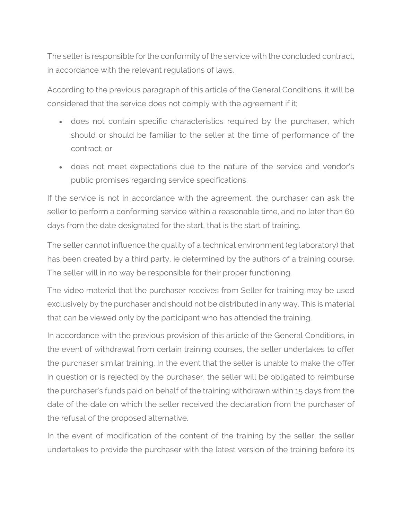The seller is responsible for the conformity of the service with the concluded contract, in accordance with the relevant regulations of laws.

According to the previous paragraph of this article of the General Conditions, it will be considered that the service does not comply with the agreement if it;

- does not contain specific characteristics required by the purchaser, which should or should be familiar to the seller at the time of performance of the contract; or
- does not meet expectations due to the nature of the service and vendor's public promises regarding service specifications.

If the service is not in accordance with the agreement, the purchaser can ask the seller to perform a conforming service within a reasonable time, and no later than 60 days from the date designated for the start, that is the start of training.

The seller cannot influence the quality of a technical environment (eg laboratory) that has been created by a third party, ie determined by the authors of a training course. The seller will in no way be responsible for their proper functioning.

The video material that the purchaser receives from Seller for training may be used exclusively by the purchaser and should not be distributed in any way. This is material that can be viewed only by the participant who has attended the training.

In accordance with the previous provision of this article of the General Conditions, in the event of withdrawal from certain training courses, the seller undertakes to offer the purchaser similar training. In the event that the seller is unable to make the offer in question or is rejected by the purchaser, the seller will be obligated to reimburse the purchaser's funds paid on behalf of the training withdrawn within 15 days from the date of the date on which the seller received the declaration from the purchaser of the refusal of the proposed alternative.

In the event of modification of the content of the training by the seller, the seller undertakes to provide the purchaser with the latest version of the training before its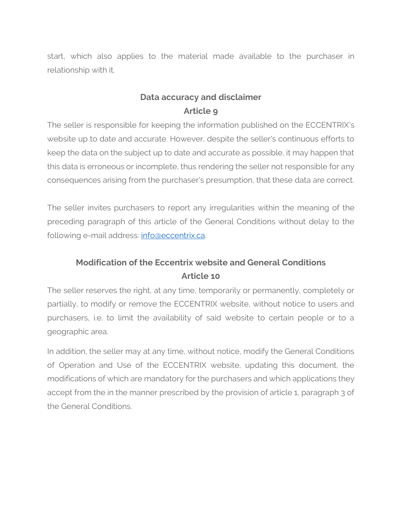start, which also applies to the material made available to the purchaser in relationship with it.

#### **Data accuracy and disclaimer Article 9**

The seller is responsible for keeping the information published on the ECCENTRIX's website up to date and accurate. However, despite the seller's continuous efforts to keep the data on the subject up to date and accurate as possible, it may happen that this data is erroneous or incomplete, thus rendering the seller not responsible for any consequences arising from the purchaser's presumption, that these data are correct.

The seller invites purchasers to report any irregularities within the meaning of the preceding paragraph of this article of the General Conditions without delay to the following e-mail address: [info@eccentrix.ca.](mailto:info@eccentrix.ca)

# **Modification of the Eccentrix website and General Conditions Article 10**

The seller reserves the right, at any time, temporarily or permanently, completely or partially, to modify or remove the ECCENTRIX website, without notice to users and purchasers, i.e. to limit the availability of said website to certain people or to a geographic area.

In addition, the seller may at any time, without notice, modify the General Conditions of Operation and Use of the ECCENTRIX website, updating this document, the modifications of which are mandatory for the purchasers and which applications they accept from the in the manner prescribed by the provision of article 1, paragraph 3 of the General Conditions.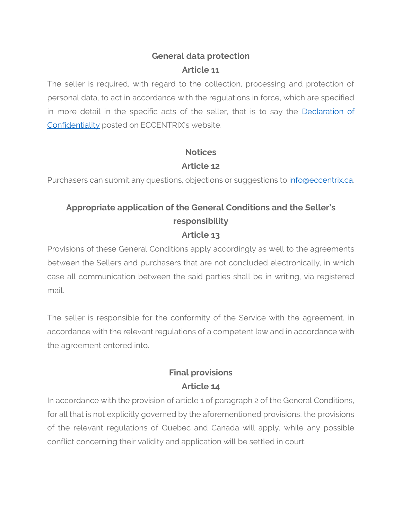# **General data protection Article 11**

The seller is required, with regard to the collection, processing and protection of personal data, to act in accordance with the regulations in force, which are specified in more detail in the specific acts of the seller, that is to say the [Declaration of](https://www.eccentrix.ca/en/declaration-of-confidentiality)  [Confidentiality](https://www.eccentrix.ca/en/declaration-of-confidentiality) posted on ECCENTRIX's website.

# **Notices Article 12**

Purchasers can submit any questions, objections or suggestions to *info@eccentrix.ca.* 

## **Appropriate application of the General Conditions and the Seller's responsibility Article 13**

Provisions of these General Conditions apply accordingly as well to the agreements between the Sellers and purchasers that are not concluded electronically, in which case all communication between the said parties shall be in writing, via registered mail.

The seller is responsible for the conformity of the Service with the agreement, in accordance with the relevant regulations of a competent law and in accordance with the agreement entered into.

# **Final provisions Article 14**

In accordance with the provision of article 1 of paragraph 2 of the General Conditions, for all that is not explicitly governed by the aforementioned provisions, the provisions of the relevant regulations of Quebec and Canada will apply, while any possible conflict concerning their validity and application will be settled in court.